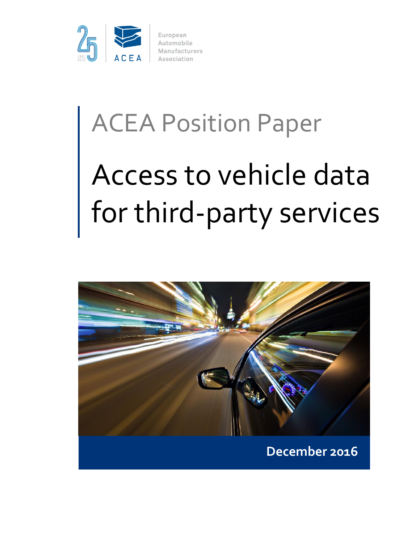

# ACEA Position Paper

# Access to vehicle data for third-party services

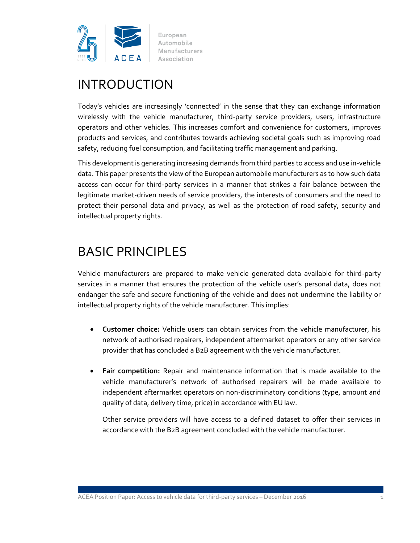

# INTRODUCTION

Today's vehicles are increasingly 'connected' in the sense that they can exchange information wirelessly with the vehicle manufacturer, third-party service providers, users, infrastructure operators and other vehicles. This increases comfort and convenience for customers, improves products and services, and contributes towards achieving societal goals such as improving road safety, reducing fuel consumption, and facilitating traffic management and parking.

This development is generating increasing demands from third parties to access and use in-vehicle data. This paper presents the view of the European automobile manufacturers as to how such data access can occur for third-party services in a manner that strikes a fair balance between the legitimate market-driven needs of service providers, the interests of consumers and the need to protect their personal data and privacy, as well as the protection of road safety, security and intellectual property rights.

# BASIC PRINCIPLES

Vehicle manufacturers are prepared to make vehicle generated data available for third-party services in a manner that ensures the protection of the vehicle user's personal data, does not endanger the safe and secure functioning of the vehicle and does not undermine the liability or intellectual property rights of the vehicle manufacturer. This implies:

- **Customer choice:** Vehicle users can obtain services from the vehicle manufacturer, his network of authorised repairers, independent aftermarket operators or any other service provider that has concluded a B2B agreement with the vehicle manufacturer.
- **Fair competition:** Repair and maintenance information that is made available to the vehicle manufacturer's network of authorised repairers will be made available to independent aftermarket operators on non-discriminatory conditions (type, amount and quality of data, delivery time, price) in accordance with EU law.

Other service providers will have access to a defined dataset to offer their services in accordance with the B2B agreement concluded with the vehicle manufacturer.

ACEA Position Paper: Access to vehicle data for third-party services – December 2016 1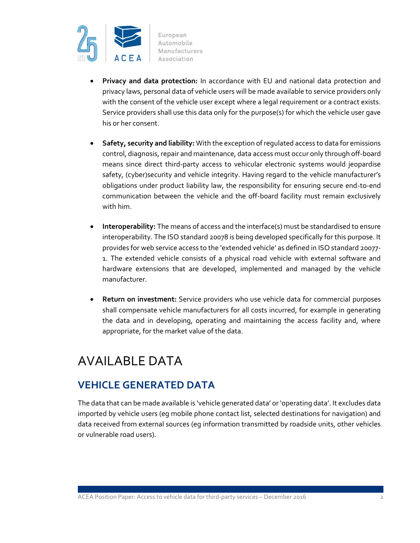

- **Privacy and data protection:** In accordance with EU and national data protection and privacy laws, personal data of vehicle users will be made available to service providers only with the consent of the vehicle user except where a legal requirement or a contract exists. Service providers shall use this data only for the purpose(s) for which the vehicle user gave his or her consent.
- **Safety, security and liability:** With the exception of regulated access to data for emissions control, diagnosis, repair and maintenance, data access must occur only through off-board means since direct third-party access to vehicular electronic systems would jeopardise safety, (cyber)security and vehicle integrity. Having regard to the vehicle manufacturer's obligations under product liability law, the responsibility for ensuring secure end-to-end communication between the vehicle and the off-board facility must remain exclusively with him.
- **Interoperability:** The means of access and the interface(s) must be standardised to ensure interoperability. The ISO standard 20078 is being developed specifically for this purpose. It provides for web service access to the 'extended vehicle' as defined in ISO standard 20077- 1. The extended vehicle consists of a physical road vehicle with external software and hardware extensions that are developed, implemented and managed by the vehicle manufacturer.
- **Return on investment:** Service providers who use vehicle data for commercial purposes shall compensate vehicle manufacturers for all costs incurred, for example in generating the data and in developing, operating and maintaining the access facility and, where appropriate, for the market value of the data.

# AVAILABLE DATA

#### **VEHICLE GENERATED DATA**

The data that can be made available is 'vehicle generated data' or 'operating data'. It excludes data imported by vehicle users (eg mobile phone contact list, selected destinations for navigation) and data received from external sources (eg information transmitted by roadside units, other vehicles or vulnerable road users).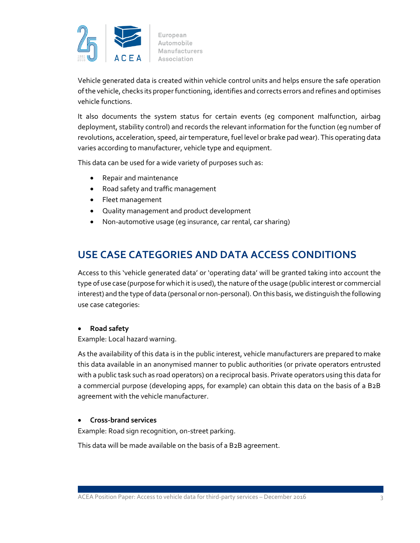

Vehicle generated data is created within vehicle control units and helps ensure the safe operation of the vehicle, checks its proper functioning, identifies and corrects errors and refines and optimises vehicle functions.

It also documents the system status for certain events (eg component malfunction, airbag deployment, stability control) and records the relevant information for the function (eg number of revolutions, acceleration, speed, air temperature, fuel level or brake pad wear). This operating data varies according to manufacturer, vehicle type and equipment.

This data can be used for a wide variety of purposes such as:

- Repair and maintenance
- Road safety and traffic management
- Fleet management
- Quality management and product development
- Non-automotive usage (eg insurance, car rental, car sharing)

#### **USE CASE CATEGORIES AND DATA ACCESS CONDITIONS**

Access to this 'vehicle generated data' or 'operating data' will be granted taking into account the type of use case (purpose for which it is used), the nature of the usage (public interest or commercial interest) and the type of data (personal or non-personal). On this basis, we distinguish the following use case categories:

#### **Road safety**

Example: Local hazard warning.

As the availability of this data is in the public interest, vehicle manufacturers are prepared to make this data available in an anonymised manner to public authorities (or private operators entrusted with a public task such as road operators) on a reciprocal basis. Private operators using this data for a commercial purpose (developing apps, for example) can obtain this data on the basis of a B2B agreement with the vehicle manufacturer.

#### **Cross-brand services**

Example: Road sign recognition, on-street parking.

This data will be made available on the basis of a B2B agreement.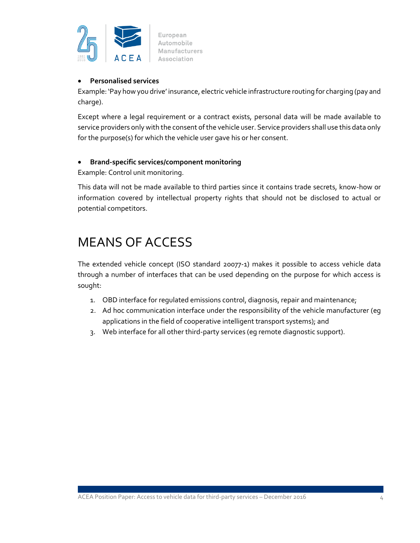

#### **Personalised services**

Example: 'Pay how you drive' insurance, electric vehicle infrastructure routing for charging (pay and charge).

Except where a legal requirement or a contract exists, personal data will be made available to service providers only with the consent of the vehicle user. Service providers shall use this data only for the purpose(s) for which the vehicle user gave his or her consent.

#### **Brand-specific services/component monitoring**

Example: Control unit monitoring.

This data will not be made available to third parties since it contains trade secrets, know-how or information covered by intellectual property rights that should not be disclosed to actual or potential competitors.

# MEANS OF ACCESS

The extended vehicle concept (ISO standard 20077-1) makes it possible to access vehicle data through a number of interfaces that can be used depending on the purpose for which access is sought:

- 1. OBD interface for regulated emissions control, diagnosis, repair and maintenance;
- 2. Ad hoc communication interface under the responsibility of the vehicle manufacturer (eg applications in the field of cooperative intelligent transport systems); and
- 3. Web interface for all other third-party services (eg remote diagnostic support).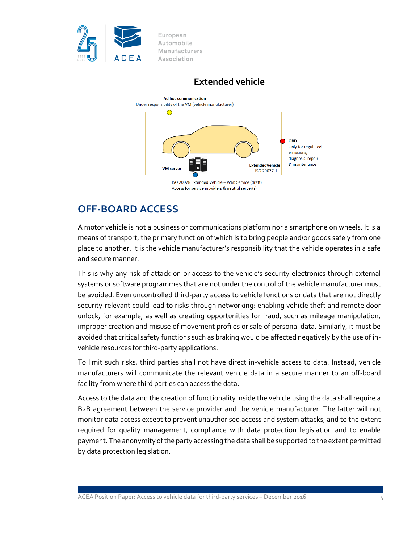

**Extended vehicle**



#### **OFF-BOARD ACCESS**

A motor vehicle is not a business or communications platform nor a smartphone on wheels. It is a means of transport, the primary function of which is to bring people and/or goods safely from one place to another. It is the vehicle manufacturer's responsibility that the vehicle operates in a safe and secure manner.

This is why any risk of attack on or access to the vehicle's security electronics through external systems or software programmes that are not under the control of the vehicle manufacturer must be avoided. Even uncontrolled third-party access to vehicle functions or data that are not directly security-relevant could lead to risks through networking: enabling vehicle theft and remote door unlock, for example, as well as creating opportunities for fraud, such as mileage manipulation, improper creation and misuse of movement profiles or sale of personal data. Similarly, it must be avoided that critical safety functions such as braking would be affected negatively by the use of invehicle resources for third-party applications.

To limit such risks, third parties shall not have direct in-vehicle access to data. Instead, vehicle manufacturers will communicate the relevant vehicle data in a secure manner to an off-board facility from where third parties can access the data.

Access to the data and the creation of functionality inside the vehicle using the data shall require a B2B agreement between the service provider and the vehicle manufacturer. The latter will not monitor data access except to prevent unauthorised access and system attacks, and to the extent required for quality management, compliance with data protection legislation and to enable payment. The anonymity of the party accessing the data shall be supported to the extent permitted by data protection legislation.

ACEA Position Paper: Access to vehicle data for third-party services – December 2016 55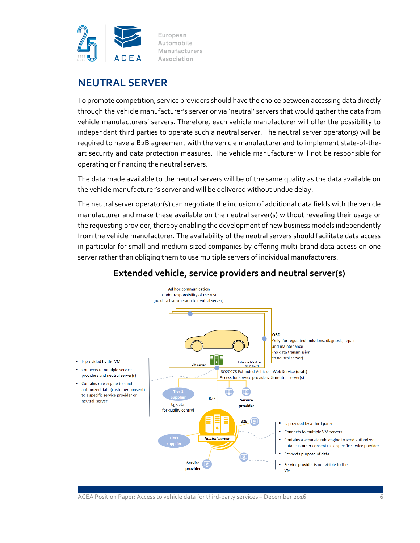

#### **NEUTRAL SERVER**

To promote competition, service providers should have the choice between accessing data directly through the vehicle manufacturer's server or via 'neutral' servers that would gather the data from vehicle manufacturers' servers. Therefore, each vehicle manufacturer will offer the possibility to independent third parties to operate such a neutral server. The neutral server operator(s) will be required to have a B2B agreement with the vehicle manufacturer and to implement state-of-theart security and data protection measures. The vehicle manufacturer will not be responsible for operating or financing the neutral servers.

The data made available to the neutral servers will be of the same quality as the data available on the vehicle manufacturer's server and will be delivered without undue delay.

The neutral server operator(s) can negotiate the inclusion of additional data fields with the vehicle manufacturer and make these available on the neutral server(s) without revealing their usage or the requesting provider, thereby enabling the development of new business models independently from the vehicle manufacturer. The availability of the neutral servers should facilitate data access in particular for small and medium-sized companies by offering multi-brand data access on one server rather than obliging them to use multiple servers of individual manufacturers.



#### **Extended vehicle, service providers and neutral server(s)**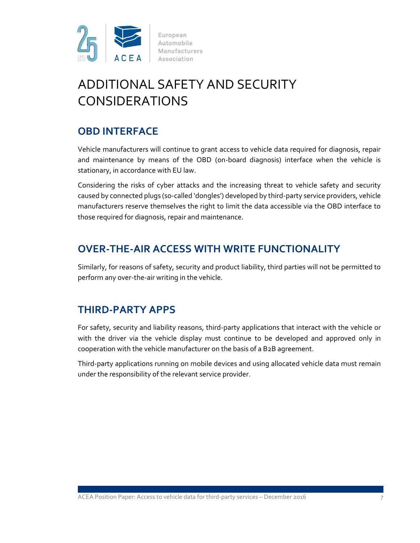

# ADDITIONAL SAFETY AND SECURITY CONSIDERATIONS

#### **OBD INTERFACE**

Vehicle manufacturers will continue to grant access to vehicle data required for diagnosis, repair and maintenance by means of the OBD (on-board diagnosis) interface when the vehicle is stationary, in accordance with EU law.

Considering the risks of cyber attacks and the increasing threat to vehicle safety and security caused by connected plugs (so-called 'dongles') developed by third-party service providers, vehicle manufacturers reserve themselves the right to limit the data accessible via the OBD interface to those required for diagnosis, repair and maintenance.

#### **OVER-THE-AIR ACCESS WITH WRITE FUNCTIONALITY**

Similarly, for reasons of safety, security and product liability, third parties will not be permitted to perform any over-the-air writing in the vehicle.

#### **THIRD-PARTY APPS**

For safety, security and liability reasons, third-party applications that interact with the vehicle or with the driver via the vehicle display must continue to be developed and approved only in cooperation with the vehicle manufacturer on the basis of a B2B agreement.

Third-party applications running on mobile devices and using allocated vehicle data must remain under the responsibility of the relevant service provider.